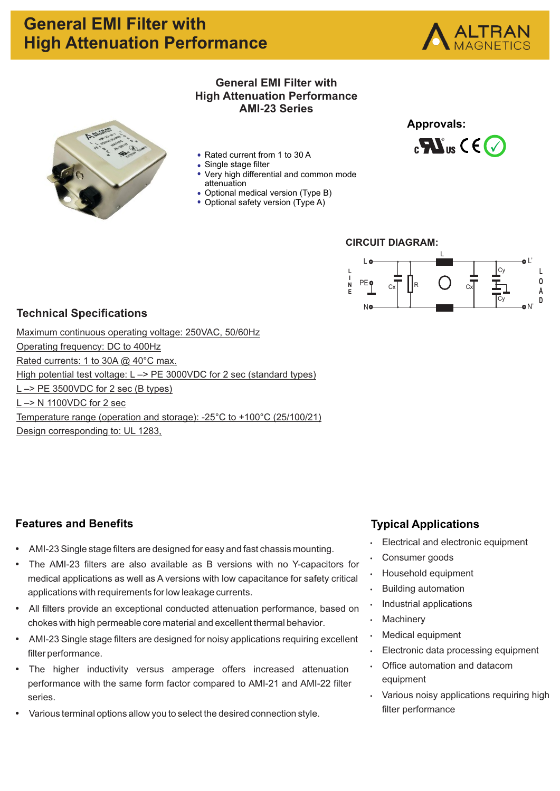



### **General EMI Filter with High Attenuation Performance AMI-23 Series**

- Rated current from 1 to 30 A
- Single stage filter
- Very high differential and common mode attenuation
- Optional medical version (Type B)
- Optional safety version (Type A)







### **Technical Specifications**

Maximum continuous operating voltage: 250VAC, 50/60Hz Operating frequency: DC to 400Hz Rated currents: 1 to 30A @ 40°C max. High potential test voltage: L -> PE 3000VDC for 2 sec (standard types) L –> PE 3500VDC for 2 sec (B types) L –> N 1100VDC for 2 sec Temperature range (operation and storage): -25°C to +100°C (25/100/21) Design corresponding to: UL 1283,

## **Features and Benefits**

- AMI-23 Single stage filters are designed for easy and fast chassis mounting.
- The AMI-23 filters are also available as B versions with no Y-capacitors for medical applications as well as A versions with low capacitance for safety critical applications with requirements for low leakage currents.
- All filters provide an exceptional conducted attenuation performance, based on chokes with high permeable core material and excellent thermal behavior.
- AMI-23 Single stage filters are designed for noisy applications requiring excellent filter performance.
- The higher inductivity versus amperage offers increased attenuation performance with the same form factor compared to AMI-21 and AMI-22 filter series.
- Various terminal options allow you to select the desired connection style.

## **Typical Applications**

- $\cdot$  Electrical and electronic equipment
- Consumer goods
- Household equipment
- **Building automation**
- Industrial applications
- Machinery
- Medical equipment
- Electronic data processing equipment
- Office automation and datacom equipment
- Various noisy applications requiring high filter performance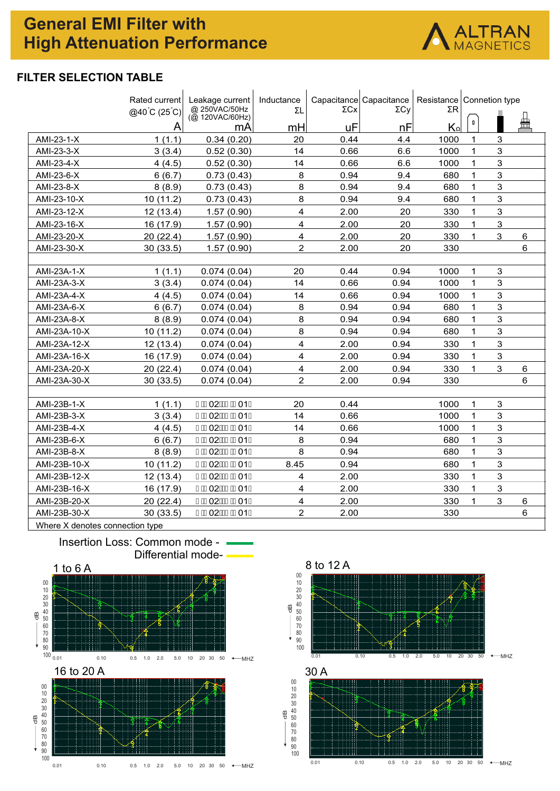# **General EMI Filter with High Attenuation Performance**



### **FILTER SELECTION TABLE**

|              | Rated current               | Leakage current<br>@ 250VAC/50Hz | Inductance<br>ΣL | ΣCx  | Capacitance Capacitance<br>$\Sigma$ Cy | Resistance   Connetion type<br>ΣR |              |             |                |
|--------------|-----------------------------|----------------------------------|------------------|------|----------------------------------------|-----------------------------------|--------------|-------------|----------------|
|              | $@40^{\circ}C(25^{\circ}C)$ | (@ 120VAC/60Hz)                  |                  |      |                                        |                                   | $\pmb{0}$    |             | 兽              |
|              | Α                           | mA                               | mH               | uF   | nF                                     | $K_{\Omega}$                      |              |             |                |
| AMI-23-1-X   | 1(1.1)                      | 0.34(0.20)                       | 20               | 0.44 | 4.4                                    | 1000                              | $\mathbf{1}$ | 3           |                |
| AMI-23-3-X   | 3(3.4)                      | 0.52(0.30)                       | 14               | 0.66 | 6.6                                    | 1000                              | $\mathbf{1}$ | 3           |                |
| AMI-23-4-X   | 4(4.5)                      | 0.52(0.30)                       | 14               | 0.66 | 6.6                                    | 1000                              | 1            | 3           |                |
| AMI-23-6-X   | 6(6.7)                      | 0.73(0.43)                       | 8                | 0.94 | 9.4                                    | 680                               | 1            | 3           |                |
| AMI-23-8-X   | 8(8.9)                      | 0.73(0.43)                       | 8                | 0.94 | 9.4                                    | 680                               | 1            | 3           |                |
| AMI-23-10-X  | 10(11.2)                    | 0.73(0.43)                       | 8                | 0.94 | 9.4                                    | 680                               | 1            | 3           |                |
| AMI-23-12-X  | 12(13.4)                    | 1.57(0.90)                       | 4                | 2.00 | 20                                     | 330                               | 1            | 3           |                |
| AMI-23-16-X  | 16 (17.9)                   | 1.57(0.90)                       | $\overline{4}$   | 2.00 | 20                                     | 330                               | $\mathbf{1}$ | 3           |                |
| AMI-23-20-X  | 20(22.4)                    | 1.57(0.90)                       | $\overline{4}$   | 2.00 | 20                                     | 330                               | 1            | 3           | $6\phantom{1}$ |
| AMI-23-30-X  | 30 (33.5)                   | 1.57(0.90)                       | $\overline{2}$   | 2.00 | 20                                     | 330                               |              |             | 6              |
|              |                             |                                  |                  |      |                                        |                                   |              |             |                |
| AMI-23A-1-X  | 1(1.1)                      | 0.074(0.04)                      | 20               | 0.44 | 0.94                                   | 1000                              | 1            | 3           |                |
| AMI-23A-3-X  | 3(3.4)                      | 0.074(0.04)                      | 14               | 0.66 | 0.94                                   | 1000                              | $\mathbf{1}$ | 3           |                |
| AMI-23A-4-X  | 4(4.5)                      | 0.074(0.04)                      | 14               | 0.66 | 0.94                                   | 1000                              | $\mathbf 1$  | 3           |                |
| AMI-23A-6-X  | 6(6.7)                      | 0.074(0.04)                      | 8                | 0.94 | 0.94                                   | 680                               | $\mathbf{1}$ | 3           |                |
| AMI-23A-8-X  | 8(8.9)                      | 0.074(0.04)                      | 8                | 0.94 | 0.94                                   | 680                               | 1            | 3           |                |
| AMI-23A-10-X | 10(11.2)                    | 0.074(0.04)                      | 8                | 0.94 | 0.94                                   | 680                               | $\mathbf{1}$ | 3           |                |
| AMI-23A-12-X | 12(13.4)                    | 0.074(0.04)                      | 4                | 2.00 | 0.94                                   | 330                               | 1            | 3           |                |
| AMI-23A-16-X | 16 (17.9)                   | 0.074(0.04)                      | 4                | 2.00 | 0.94                                   | 330                               | 1            | 3           |                |
| AMI-23A-20-X | 20(22.4)                    | 0.074(0.04)                      | 4                | 2.00 | 0.94                                   | 330                               | 1            | 3           | 6              |
| AMI-23A-30-X | 30(33.5)                    | 0.074(0.04)                      | $\overline{2}$   | 2.00 | 0.94                                   | 330                               |              |             | 6              |
|              |                             |                                  |                  |      |                                        |                                   |              |             |                |
| AMI-23B-1-X  | 1(1.1)                      | €ÈE02Á€EÈE01D                    | 20               | 0.44 |                                        | 1000                              | $\mathbf{1}$ | $\mathsf 3$ |                |
| AMI-23B-3-X  | 3(3.4)                      | €ÈE02Á€EÈE01D                    | 14               | 0.66 |                                        | 1000                              | $\mathbf{1}$ | 3           |                |
| AMI-23B-4-X  | 4(4.5)                      | € <b>ÈEO2Á€EÈEO1D</b>            | 14               | 0.66 |                                        | 1000                              | $\mathbf 1$  | 3           |                |
| AMI-23B-6-X  | 6(6.7)                      | € <b>ÈEO2Á€EÈEO1D</b>            | 8                | 0.94 |                                        | 680                               | $\mathbf{1}$ | 3           |                |
| AMI-23B-8-X  | 8(8.9)                      | €ÈE02Á€EÈE01D                    | 8                | 0.94 |                                        | 680                               | 1            | 3           |                |
| AMI-23B-10-X | 10(11.2)                    | € <b>ÉE02Á€EE01D</b>             | 8.45             | 0.94 |                                        | 680                               | $\mathbf{1}$ | 3           |                |
| AMI-23B-12-X | 12 (13.4)                   | € <b>ÈEO2Á€EÈEO1D</b>            | 4                | 2.00 |                                        | 330                               | $\mathbf 1$  | 3           |                |
| AMI-23B-16-X | 16 (17.9)                   | € <b>ÈEO2Á€EÈEO1D</b>            | 4                | 2.00 |                                        | 330                               | $\mathbf{1}$ | 3           |                |
| AMI-23B-20-X | 20 (22.4)                   | €ÈE02Á €EÈE01D                   | 4                | 2.00 |                                        | 330                               | 1            | 3           | 6              |
| AMI-23B-30-X | 30(33.5)                    | €ÈE02Á €EÈE01D                   | $\overline{c}$   | 2.00 |                                        | 330                               |              |             | $6\phantom{1}$ |
|              |                             |                                  |                  |      |                                        |                                   |              |             |                |

Where X denotes connection type